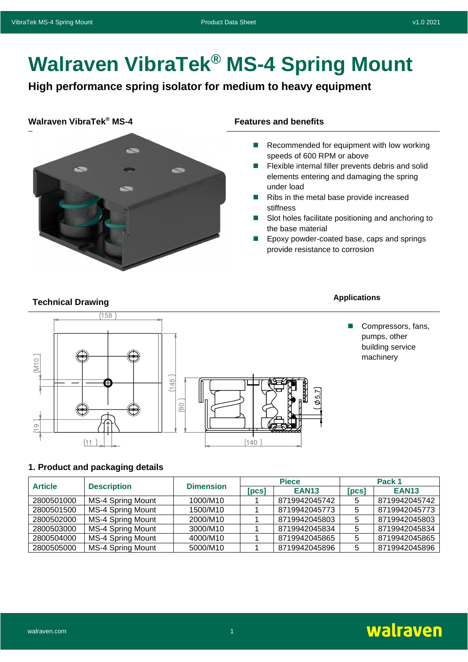# **Walraven VibraTek® MS-4 Spring Mount**

**High performance spring isolator for medium to heavy equipment**

#### **Walraven VibraTek® MS-4 Features and benefits**



- Recommended for equipment with low working speeds of 600 RPM or above
- Flexible internal filler prevents debris and solid elements entering and damaging the spring under load
- Ribs in the metal base provide increased stiffness
- Slot holes facilitate positioning and anchoring to the base material
- ◼ Epoxy powder-coated base, caps and springs provide resistance to corrosion

## **Technical Drawing Applications Applications**

# $(158)$  $(M10)$  $(145)$ ഥ 80  $\overline{O}$  $(11)$  $(140$

■ Compressors, fans, pumps, other building service machinery

#### **1. Product and packaging details**

| <b>Article</b> | <b>Description</b>       | <b>Dimension</b> |       | <b>Piece</b>  | Pack 1 |               |
|----------------|--------------------------|------------------|-------|---------------|--------|---------------|
|                |                          |                  | [PCS] | <b>EAN13</b>  | [PCS]  | <b>EAN13</b>  |
| 2800501000     | MS-4 Spring Mount        | 1000/M10         |       | 8719942045742 | 5      | 8719942045742 |
| 2800501500     | MS-4 Spring Mount        | 1500/M10         |       | 8719942045773 | 5      | 8719942045773 |
| 2800502000     | <b>MS-4 Spring Mount</b> | 2000/M10         |       | 8719942045803 | 5      | 8719942045803 |
| 2800503000     | MS-4 Spring Mount        | 3000/M10         |       | 8719942045834 | 5      | 8719942045834 |
| 2800504000     | <b>MS-4 Spring Mount</b> | 4000/M10         |       | 8719942045865 | 5      | 8719942045865 |
| 2800505000     | MS-4 Spring Mount        | 5000/M10         |       | 8719942045896 | 5      | 8719942045896 |